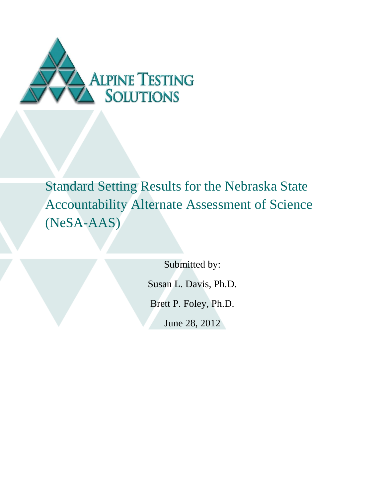

Standard Setting Results for the Nebraska State Accountability Alternate Assessment of Science (NeSA-AAS)

Submitted by:

Susan L. Davis, Ph.D.

Brett P. Foley, Ph.D.

June 28, 2012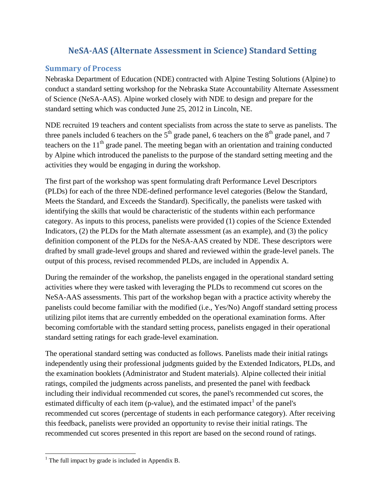#### **NeSA-AAS (Alternate Assessment in Science) Standard Setting**

#### **Summary of Process**

Nebraska Department of Education (NDE) contracted with Alpine Testing Solutions (Alpine) to conduct a standard setting workshop for the Nebraska State Accountability Alternate Assessment of Science (NeSA-AAS). Alpine worked closely with NDE to design and prepare for the standard setting which was conducted June 25, 2012 in Lincoln, NE.

NDE recruited 19 teachers and content specialists from across the state to serve as panelists. The three panels included 6 teachers on the  $5<sup>th</sup>$  grade panel, 6 teachers on the  $8<sup>th</sup>$  grade panel, and 7 teachers on the  $11<sup>th</sup>$  grade panel. The meeting began with an orientation and training conducted by Alpine which introduced the panelists to the purpose of the standard setting meeting and the activities they would be engaging in during the workshop.

The first part of the workshop was spent formulating draft Performance Level Descriptors (PLDs) for each of the three NDE-defined performance level categories (Below the Standard, Meets the Standard, and Exceeds the Standard). Specifically, the panelists were tasked with identifying the skills that would be characteristic of the students within each performance category. As inputs to this process, panelists were provided (1) copies of the Science Extended Indicators, (2) the PLDs for the Math alternate assessment (as an example), and (3) the policy definition component of the PLDs for the NeSA-AAS created by NDE. These descriptors were drafted by small grade-level groups and shared and reviewed within the grade-level panels. The output of this process, revised recommended PLDs, are included in Appendix A.

During the remainder of the workshop, the panelists engaged in the operational standard setting activities where they were tasked with leveraging the PLDs to recommend cut scores on the NeSA-AAS assessments. This part of the workshop began with a practice activity whereby the panelists could become familiar with the modified (i.e., Yes/No) Angoff standard setting process utilizing pilot items that are currently embedded on the operational examination forms. After becoming comfortable with the standard setting process, panelists engaged in their operational standard setting ratings for each grade-level examination.

The operational standard setting was conducted as follows. Panelists made their initial ratings independently using their professional judgments guided by the Extended Indicators, PLDs, and the examination booklets (Administrator and Student materials). Alpine collected their initial ratings, compiled the judgments across panelists, and presented the panel with feedback including their individual recommended cut scores, the panel's recommended cut scores, the estimated difficulty of each item (p-value), and the estimated impact<sup>1</sup> of the panel's recommended cut scores (percentage of students in each performance category). After receiving this feedback, panelists were provided an opportunity to revise their initial ratings. The recommended cut scores presented in this report are based on the second round of ratings.

 $\overline{\phantom{a}}$ 

<sup>&</sup>lt;sup>1</sup> The full impact by grade is included in Appendix B.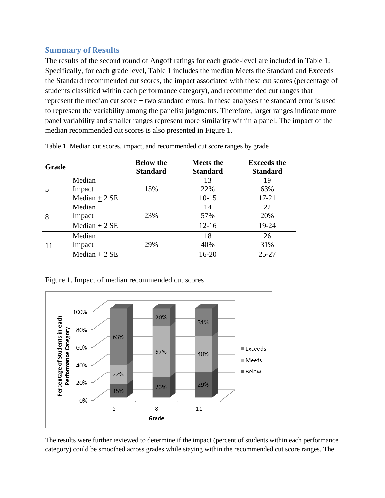#### **Summary of Results**

The results of the second round of Angoff ratings for each grade-level are included in Table 1. Specifically, for each grade level, Table 1 includes the median Meets the Standard and Exceeds the Standard recommended cut scores, the impact associated with these cut scores (percentage of students classified within each performance category), and recommended cut ranges that represent the median cut score + two standard errors. In these analyses the standard error is used to represent the variability among the panelist judgments. Therefore, larger ranges indicate more panel variability and smaller ranges represent more similarity within a panel. The impact of the median recommended cut scores is also presented in Figure 1.

| <b>Grade</b> |                | <b>Below the</b><br><b>Standard</b> | <b>Meets the</b><br><b>Standard</b> | <b>Exceeds the</b><br><b>Standard</b> |
|--------------|----------------|-------------------------------------|-------------------------------------|---------------------------------------|
|              | Median         |                                     | 13                                  | 19                                    |
|              | Impact         | 15%                                 | 22%                                 | 63%                                   |
|              | Median $+2$ SE |                                     | $10 - 15$                           | $17 - 21$                             |
| 8            | Median         |                                     | 14                                  | 22                                    |
|              | Impact         | 23%                                 | 57%                                 | 20%                                   |
|              | Median $+2$ SE |                                     | $12 - 16$                           | 19-24                                 |
| 11           | Median         |                                     | 18                                  | 26                                    |
|              | Impact         | 29%                                 | 40%                                 | 31%                                   |
|              | Median $+2$ SE |                                     | $16 - 20$                           | $25 - 27$                             |

Table 1. Median cut scores, impact, and recommended cut score ranges by grade

Figure 1. Impact of median recommended cut scores



The results were further reviewed to determine if the impact (percent of students within each performance category) could be smoothed across grades while staying within the recommended cut score ranges. The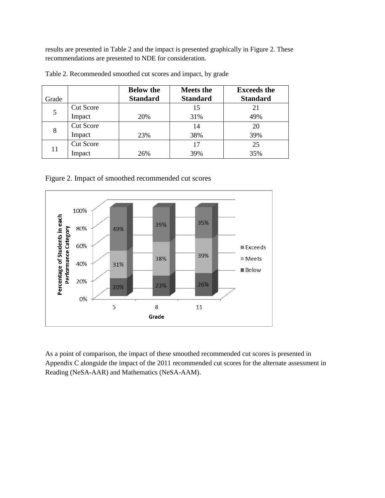results are presented in Table 2 and the impact is presented graphically in Figure 2. These recommendations are presented to NDE for consideration.

| Grade |                  | <b>Below the</b><br><b>Standard</b> | <b>Meets the</b><br><b>Standard</b> | <b>Exceeds the</b><br><b>Standard</b> |
|-------|------------------|-------------------------------------|-------------------------------------|---------------------------------------|
| 5     | <b>Cut Score</b> |                                     | 15                                  | 21                                    |
|       | Impact           | 20%                                 | 31%                                 | 49%                                   |
|       | <b>Cut Score</b> |                                     | 14                                  | 20                                    |
| 8     | Impact           | 23%                                 | 38%                                 | 39%                                   |
| 11    | <b>Cut Score</b> |                                     | 17                                  | 25                                    |
|       | Impact           | 26%                                 | 39%                                 | 35%                                   |

Table 2. Recommended smoothed cut scores and impact, by grade

Figure 2. Impact of smoothed recommended cut scores



As a point of comparison, the impact of these smoothed recommended cut scores is presented in Appendix C alongside the impact of the 2011 recommended cut scores for the alternate assessment in Reading (NeSA-AAR) and Mathematics (NeSA-AAM).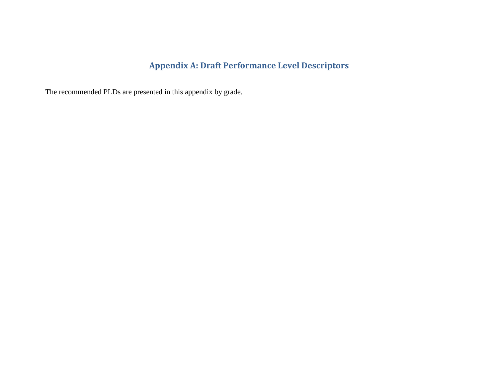# **Appendix A: Draft Performance Level Descriptors**

The recommended PLDs are presented in this appendix by grade.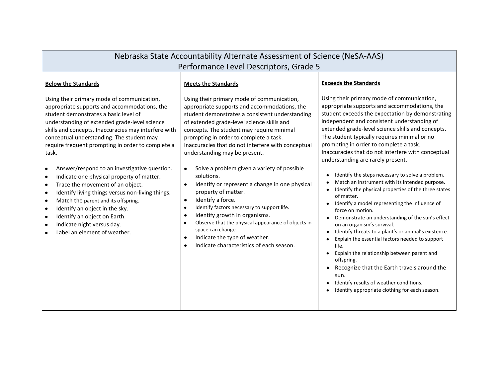| Performance Level Descriptors, Grade 5<br><b>Exceeds the Standards</b><br><b>Below the Standards</b><br><b>Meets the Standards</b><br>Using their primary mode of communication,<br>Using their primary mode of communication,<br>Using their primary mode of communication,<br>appropriate supports and accommodations, the<br>appropriate supports and accommodations, the<br>appropriate supports and accommodations, the<br>student demonstrates a basic level of<br>student demonstrates a consistent understanding<br>independent and consistent understanding of<br>understanding of extended grade-level science<br>of extended grade-level science skills and<br>extended grade-level science skills and concepts.<br>skills and concepts. Inaccuracies may interfere with<br>concepts. The student may require minimal<br>The student typically requires minimal or no<br>conceptual understanding. The student may<br>prompting in order to complete a task.<br>prompting in order to complete a task.<br>Inaccuracies that do not interfere with conceptual<br>require frequent prompting in order to complete a<br>understanding may be present.<br>task.<br>understanding are rarely present.<br>Answer/respond to an investigative question.<br>Solve a problem given a variety of possible<br>$\bullet$<br>$\bullet$<br>Identify the steps necessary to solve a problem.<br>solutions.<br>Indicate one physical property of matter.<br>$\bullet$<br>Match an instrument with its intended purpose.<br>Identify or represent a change in one physical<br>Trace the movement of an object.<br>$\bullet$<br>$\bullet$<br>property of matter.<br>Identify living things versus non-living things.<br>$\bullet$<br>of matter.<br>Identify a force.<br>$\bullet$<br>Match the parent and its offspring.<br>$\bullet$<br>Identify a model representing the influence of<br>Identify factors necessary to support life.<br>$\bullet$<br>$\bullet$ | Nebraska State Accountability Alternate Assessment of Science (NeSA-AAS) |  |                                                                                                                                                                                                                                        |  |  |
|-----------------------------------------------------------------------------------------------------------------------------------------------------------------------------------------------------------------------------------------------------------------------------------------------------------------------------------------------------------------------------------------------------------------------------------------------------------------------------------------------------------------------------------------------------------------------------------------------------------------------------------------------------------------------------------------------------------------------------------------------------------------------------------------------------------------------------------------------------------------------------------------------------------------------------------------------------------------------------------------------------------------------------------------------------------------------------------------------------------------------------------------------------------------------------------------------------------------------------------------------------------------------------------------------------------------------------------------------------------------------------------------------------------------------------------------------------------------------------------------------------------------------------------------------------------------------------------------------------------------------------------------------------------------------------------------------------------------------------------------------------------------------------------------------------------------------------------------------------------------------------------------------------------------------------------------------------------|--------------------------------------------------------------------------|--|----------------------------------------------------------------------------------------------------------------------------------------------------------------------------------------------------------------------------------------|--|--|
|                                                                                                                                                                                                                                                                                                                                                                                                                                                                                                                                                                                                                                                                                                                                                                                                                                                                                                                                                                                                                                                                                                                                                                                                                                                                                                                                                                                                                                                                                                                                                                                                                                                                                                                                                                                                                                                                                                                                                           |                                                                          |  |                                                                                                                                                                                                                                        |  |  |
|                                                                                                                                                                                                                                                                                                                                                                                                                                                                                                                                                                                                                                                                                                                                                                                                                                                                                                                                                                                                                                                                                                                                                                                                                                                                                                                                                                                                                                                                                                                                                                                                                                                                                                                                                                                                                                                                                                                                                           |                                                                          |  |                                                                                                                                                                                                                                        |  |  |
| Identify growth in organisms.<br>$\bullet$<br>Identify an object on Earth.<br>$\bullet$<br>Observe that the physical appearance of objects in<br>$\bullet$<br>Indicate night versus day.<br>on an organism's survival.<br>$\bullet$<br>space can change.<br>Identify threats to a plant's or animal's existence.<br>Label an element of weather.<br>Indicate the type of weather.<br>$\bullet$<br>Explain the essential factors needed to support<br>Indicate characteristics of each season.<br>$\bullet$<br>life.<br>Explain the relationship between parent and<br>offspring.<br>Recognize that the Earth travels around the<br>sun.<br>Identify results of weather conditions.<br>Identify appropriate clothing for each season.                                                                                                                                                                                                                                                                                                                                                                                                                                                                                                                                                                                                                                                                                                                                                                                                                                                                                                                                                                                                                                                                                                                                                                                                                      | Identify an object in the sky.                                           |  | student exceeds the expectation by demonstrating<br>Inaccuracies that do not interfere with conceptual<br>Identify the physical properties of the three states<br>force on motion.<br>Demonstrate an understanding of the sun's effect |  |  |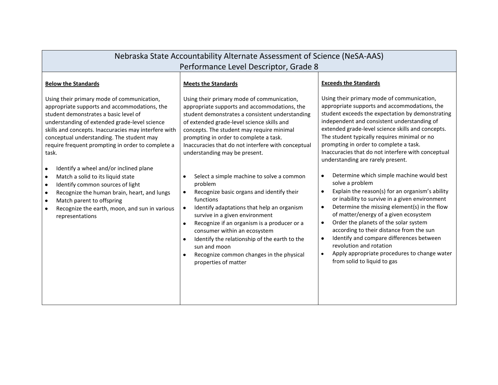| Nebraska State Accountability Alternate Assessment of Science (NeSA-AAS)                                                                                                                                                                                                                                                                                                                                                                                                                                                                                                                                                                                                                    |                                                                                                                                                                                                                                                                                                                                                                                                                                                                                                                                                                                                                                                                                                                                                                                                                                                                       |                                                                                                                                                                                                                                                                                                                                                                                                                                                                                                                                                                                                                                                                                                                                                                                                                                                                                                                                                                                                                                |  |  |
|---------------------------------------------------------------------------------------------------------------------------------------------------------------------------------------------------------------------------------------------------------------------------------------------------------------------------------------------------------------------------------------------------------------------------------------------------------------------------------------------------------------------------------------------------------------------------------------------------------------------------------------------------------------------------------------------|-----------------------------------------------------------------------------------------------------------------------------------------------------------------------------------------------------------------------------------------------------------------------------------------------------------------------------------------------------------------------------------------------------------------------------------------------------------------------------------------------------------------------------------------------------------------------------------------------------------------------------------------------------------------------------------------------------------------------------------------------------------------------------------------------------------------------------------------------------------------------|--------------------------------------------------------------------------------------------------------------------------------------------------------------------------------------------------------------------------------------------------------------------------------------------------------------------------------------------------------------------------------------------------------------------------------------------------------------------------------------------------------------------------------------------------------------------------------------------------------------------------------------------------------------------------------------------------------------------------------------------------------------------------------------------------------------------------------------------------------------------------------------------------------------------------------------------------------------------------------------------------------------------------------|--|--|
| Performance Level Descriptor, Grade 8                                                                                                                                                                                                                                                                                                                                                                                                                                                                                                                                                                                                                                                       |                                                                                                                                                                                                                                                                                                                                                                                                                                                                                                                                                                                                                                                                                                                                                                                                                                                                       |                                                                                                                                                                                                                                                                                                                                                                                                                                                                                                                                                                                                                                                                                                                                                                                                                                                                                                                                                                                                                                |  |  |
| <b>Below the Standards</b>                                                                                                                                                                                                                                                                                                                                                                                                                                                                                                                                                                                                                                                                  | <b>Meets the Standards</b>                                                                                                                                                                                                                                                                                                                                                                                                                                                                                                                                                                                                                                                                                                                                                                                                                                            | <b>Exceeds the Standards</b>                                                                                                                                                                                                                                                                                                                                                                                                                                                                                                                                                                                                                                                                                                                                                                                                                                                                                                                                                                                                   |  |  |
| Using their primary mode of communication,<br>appropriate supports and accommodations, the<br>student demonstrates a basic level of<br>understanding of extended grade-level science<br>skills and concepts. Inaccuracies may interfere with<br>conceptual understanding. The student may<br>require frequent prompting in order to complete a<br>task.<br>Identify a wheel and/or inclined plane<br>$\bullet$<br>Match a solid to its liquid state<br>$\bullet$<br>Identify common sources of light<br>$\bullet$<br>Recognize the human brain, heart, and lungs<br>$\bullet$<br>Match parent to offspring<br>$\bullet$<br>Recognize the earth, moon, and sun in various<br>representations | Using their primary mode of communication,<br>appropriate supports and accommodations, the<br>student demonstrates a consistent understanding<br>of extended grade-level science skills and<br>concepts. The student may require minimal<br>prompting in order to complete a task.<br>Inaccuracies that do not interfere with conceptual<br>understanding may be present.<br>Select a simple machine to solve a common<br>٠<br>problem<br>Recognize basic organs and identify their<br>$\bullet$<br>functions<br>Identify adaptations that help an organism<br>$\bullet$<br>survive in a given environment<br>Recognize if an organism is a producer or a<br>$\bullet$<br>consumer within an ecosystem<br>Identify the relationship of the earth to the<br>$\bullet$<br>sun and moon<br>Recognize common changes in the physical<br>$\bullet$<br>properties of matter | Using their primary mode of communication,<br>appropriate supports and accommodations, the<br>student exceeds the expectation by demonstrating<br>independent and consistent understanding of<br>extended grade-level science skills and concepts.<br>The student typically requires minimal or no<br>prompting in order to complete a task.<br>Inaccuracies that do not interfere with conceptual<br>understanding are rarely present.<br>Determine which simple machine would best<br>$\bullet$<br>solve a problem<br>Explain the reason(s) for an organism's ability<br>$\bullet$<br>or inability to survive in a given environment<br>Determine the missing element(s) in the flow<br>$\bullet$<br>of matter/energy of a given ecosystem<br>Order the planets of the solar system<br>$\bullet$<br>according to their distance from the sun<br>Identify and compare differences between<br>$\bullet$<br>revolution and rotation<br>Apply appropriate procedures to change water<br>$\bullet$<br>from solid to liquid to gas |  |  |
|                                                                                                                                                                                                                                                                                                                                                                                                                                                                                                                                                                                                                                                                                             |                                                                                                                                                                                                                                                                                                                                                                                                                                                                                                                                                                                                                                                                                                                                                                                                                                                                       |                                                                                                                                                                                                                                                                                                                                                                                                                                                                                                                                                                                                                                                                                                                                                                                                                                                                                                                                                                                                                                |  |  |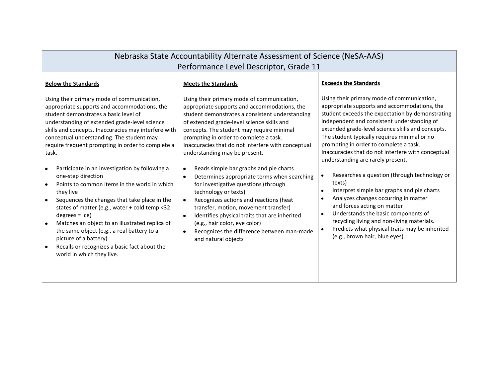| Nebraska State Accountability Alternate Assessment of Science (NeSA-AAS)                                                                                                                                                                                                                                                                                                                                                                                                                                                                                                                                                                                                                                                                                                                                                                                                                 |                                                                                                                                                                                                                                                                                                                                                                                                                                                                                                                                                                                                                                                                                                                                                                                                                                 |                                                                                                                                                                                                                                                                                                                                                                                                                                                                                                                                                                                                                                                                                                                                                                                                                                                                 |  |  |
|------------------------------------------------------------------------------------------------------------------------------------------------------------------------------------------------------------------------------------------------------------------------------------------------------------------------------------------------------------------------------------------------------------------------------------------------------------------------------------------------------------------------------------------------------------------------------------------------------------------------------------------------------------------------------------------------------------------------------------------------------------------------------------------------------------------------------------------------------------------------------------------|---------------------------------------------------------------------------------------------------------------------------------------------------------------------------------------------------------------------------------------------------------------------------------------------------------------------------------------------------------------------------------------------------------------------------------------------------------------------------------------------------------------------------------------------------------------------------------------------------------------------------------------------------------------------------------------------------------------------------------------------------------------------------------------------------------------------------------|-----------------------------------------------------------------------------------------------------------------------------------------------------------------------------------------------------------------------------------------------------------------------------------------------------------------------------------------------------------------------------------------------------------------------------------------------------------------------------------------------------------------------------------------------------------------------------------------------------------------------------------------------------------------------------------------------------------------------------------------------------------------------------------------------------------------------------------------------------------------|--|--|
| Performance Level Descriptor, Grade 11                                                                                                                                                                                                                                                                                                                                                                                                                                                                                                                                                                                                                                                                                                                                                                                                                                                   |                                                                                                                                                                                                                                                                                                                                                                                                                                                                                                                                                                                                                                                                                                                                                                                                                                 |                                                                                                                                                                                                                                                                                                                                                                                                                                                                                                                                                                                                                                                                                                                                                                                                                                                                 |  |  |
| <b>Below the Standards</b>                                                                                                                                                                                                                                                                                                                                                                                                                                                                                                                                                                                                                                                                                                                                                                                                                                                               | <b>Meets the Standards</b>                                                                                                                                                                                                                                                                                                                                                                                                                                                                                                                                                                                                                                                                                                                                                                                                      | <b>Exceeds the Standards</b>                                                                                                                                                                                                                                                                                                                                                                                                                                                                                                                                                                                                                                                                                                                                                                                                                                    |  |  |
| Using their primary mode of communication,<br>appropriate supports and accommodations, the<br>student demonstrates a basic level of<br>understanding of extended grade-level science<br>skills and concepts. Inaccuracies may interfere with<br>conceptual understanding. The student may<br>require frequent prompting in order to complete a<br>task.<br>Participate in an investigation by following a<br>$\bullet$<br>one-step direction<br>Points to common items in the world in which<br>$\bullet$<br>they live<br>Sequences the changes that take place in the<br>$\bullet$<br>states of matter (e.g., water + cold temp <32<br>$degrees = ice)$<br>Matches an object to an illustrated replica of<br>$\bullet$<br>the same object (e.g., a real battery to a<br>picture of a battery)<br>Recalls or recognizes a basic fact about the<br>$\bullet$<br>world in which they live. | Using their primary mode of communication,<br>appropriate supports and accommodations, the<br>student demonstrates a consistent understanding<br>of extended grade-level science skills and<br>concepts. The student may require minimal<br>prompting in order to complete a task.<br>Inaccuracies that do not interfere with conceptual<br>understanding may be present.<br>Reads simple bar graphs and pie charts<br>$\bullet$<br>Determines appropriate terms when searching<br>for investigative questions (through<br>technology or texts)<br>Recognizes actions and reactions (heat<br>$\bullet$<br>transfer, motion, movement transfer)<br>Identifies physical traits that are inherited<br>$\bullet$<br>(e.g., hair color, eye color)<br>Recognizes the difference between man-made<br>$\bullet$<br>and natural objects | Using their primary mode of communication,<br>appropriate supports and accommodations, the<br>student exceeds the expectation by demonstrating<br>independent and consistent understanding of<br>extended grade-level science skills and concepts.<br>The student typically requires minimal or no<br>prompting in order to complete a task.<br>Inaccuracies that do not interfere with conceptual<br>understanding are rarely present.<br>Researches a question (through technology or<br>$\bullet$<br>texts)<br>Interpret simple bar graphs and pie charts<br>$\bullet$<br>Analyzes changes occurring in matter<br>$\bullet$<br>and forces acting on matter<br>Understands the basic components of<br>$\bullet$<br>recycling living and non-living materials.<br>Predicts what physical traits may be inherited<br>$\bullet$<br>(e.g., brown hair, blue eyes) |  |  |
|                                                                                                                                                                                                                                                                                                                                                                                                                                                                                                                                                                                                                                                                                                                                                                                                                                                                                          |                                                                                                                                                                                                                                                                                                                                                                                                                                                                                                                                                                                                                                                                                                                                                                                                                                 |                                                                                                                                                                                                                                                                                                                                                                                                                                                                                                                                                                                                                                                                                                                                                                                                                                                                 |  |  |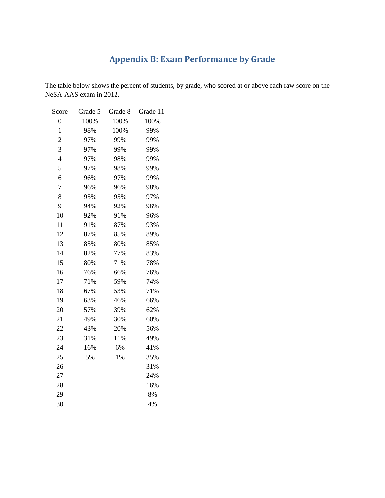# **Appendix B: Exam Performance by Grade**

The table below shows the percent of students, by grade, who scored at or above each raw score on the NeSA-AAS exam in 2012.

| Score          | Grade 5 | Grade 8 | Grade 11 |
|----------------|---------|---------|----------|
| $\overline{0}$ | 100%    | 100%    | 100%     |
| $\mathbf{1}$   | 98%     | 100%    | 99%      |
| $\overline{c}$ | 97%     | 99%     | 99%      |
| 3              | 97%     | 99%     | 99%      |
| $\overline{4}$ | 97%     | 98%     | 99%      |
| 5              | 97%     | 98%     | 99%      |
| 6              | 96%     | 97%     | 99%      |
| 7              | 96%     | 96%     | 98%      |
| 8              | 95%     | 95%     | 97%      |
| 9              | 94%     | 92%     | 96%      |
| 10             | 92%     | 91%     | 96%      |
| 11             | 91%     | 87%     | 93%      |
| 12             | 87%     | 85%     | 89%      |
| 13             | 85%     | 80%     | 85%      |
| 14             | 82%     | 77%     | 83%      |
| 15             | 80%     | 71%     | 78%      |
| 16             | 76%     | 66%     | 76%      |
| 17             | 71%     | 59%     | 74%      |
| 18             | 67%     | 53%     | 71%      |
| 19             | 63%     | 46%     | 66%      |
| 20             | 57%     | 39%     | 62%      |
| 21             | 49%     | 30%     | 60%      |
| 22             | 43%     | 20%     | 56%      |
| 23             | 31%     | 11%     | 49%      |
| 24             | 16%     | 6%      | 41%      |
| 25             | 5%      | 1%      | 35%      |
| 26             |         |         | 31%      |
| 27             |         |         | 24%      |
| 28             |         |         | 16%      |
| 29             |         |         | 8%       |
| 30             |         |         | 4%       |